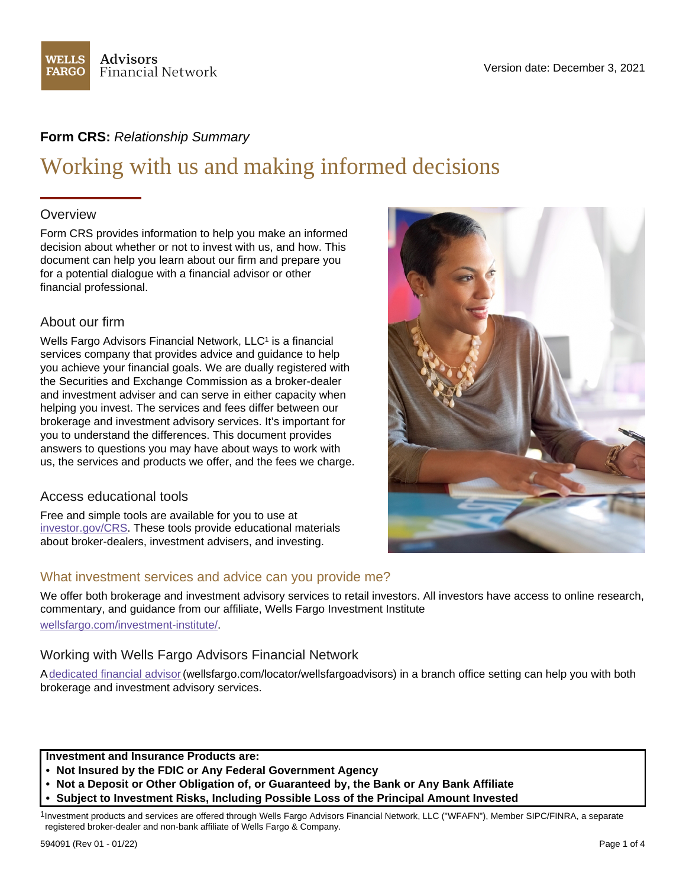

# **Form CRS:** *Relationship Summary*

# Working with us and making informed decisions

# **Overview**

Form CRS provides information to help you make an informed decision about whether or not to invest with us, and how. This document can help you learn about our firm and prepare you for a potential dialogue with a financial advisor or other financial professional.

# About our firm

Wells Fargo Advisors Financial Network, LLC<sup>1</sup> is a financial services company that provides advice and guidance to help you achieve your financial goals. We are dually registered with the Securities and Exchange Commission as a broker-dealer and investment adviser and can serve in either capacity when helping you invest. The services and fees differ between our brokerage and investment advisory services. It's important for you to understand the differences. This document provides answers to questions you may have about ways to work with us, the services and products we offer, and the fees we charge.

# Access educational tools

Free and simple tools are available for you to use at [investor.gov/CRS.](https://www.wfa.com/doc-exit-page.htm?con=https://www.investor.gov/CRS) These tools provide educational materials about broker-dealers, investment advisers, and investing.

# What investment services and advice can you provide me?

We offer both brokerage and investment advisory services to retail investors. All investors have access to online research, commentary, and guidance from our affiliate, Wells Fargo Investment Institute [wellsfargo.com/investment-institute/](https://www.wellsfargo.com/investment-institute/).

# Working with Wells Fargo Advisors Financial Network

A [dedicated financial advisor](https://www.wellsfargo.com/locator/wellsfargoadvisors)(wellsfargo.com/locator/wellsfargoadvisors) in a branch office setting can help you with both brokerage and investment advisory services.

**Investment and Insurance Products are:**

- **Not Insured by the FDIC or Any Federal Government Agency**
- **Not a Deposit or Other Obligation of, or Guaranteed by, the Bank or Any Bank Affiliate**
- **Subject to Investment Risks, Including Possible Loss of the Principal Amount Invested**

<sup>1</sup>Investment products and services are offered through Wells Fargo Advisors Financial Network, LLC ("WFAFN"), Member SIPC/FINRA, a separate registered broker-dealer and non-bank affiliate of Wells Fargo & Company.

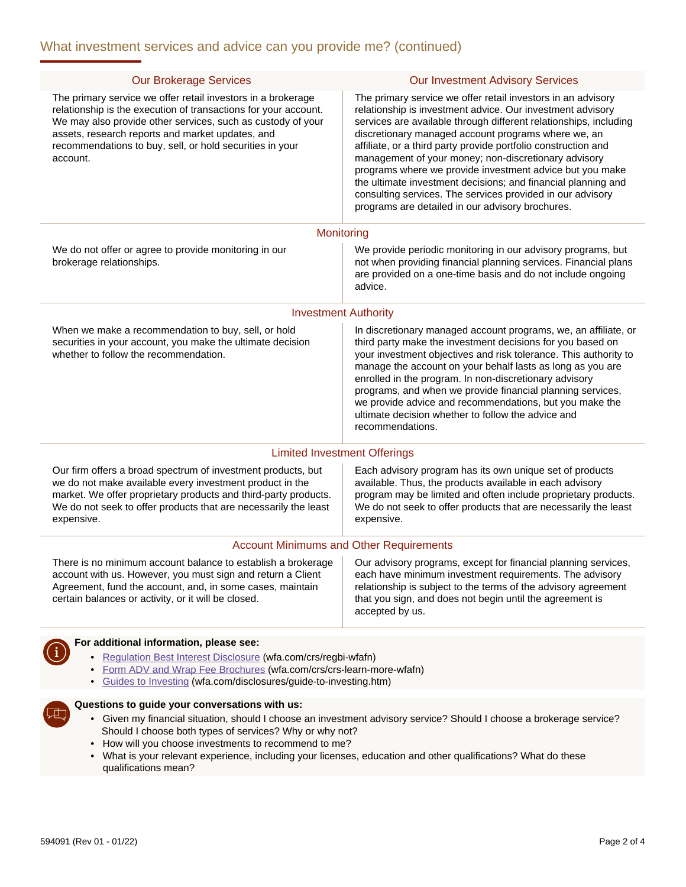| <b>Our Brokerage Services</b>                                                                                                                                                                                                                                                                                                                                                         | <b>Our Investment Advisory Services</b>                                                                                                                                                                                                                                                                                                                                                                                                                                                                                                                                                                                         |
|---------------------------------------------------------------------------------------------------------------------------------------------------------------------------------------------------------------------------------------------------------------------------------------------------------------------------------------------------------------------------------------|---------------------------------------------------------------------------------------------------------------------------------------------------------------------------------------------------------------------------------------------------------------------------------------------------------------------------------------------------------------------------------------------------------------------------------------------------------------------------------------------------------------------------------------------------------------------------------------------------------------------------------|
| The primary service we offer retail investors in a brokerage<br>relationship is the execution of transactions for your account.<br>We may also provide other services, such as custody of your<br>assets, research reports and market updates, and<br>recommendations to buy, sell, or hold securities in your<br>account.                                                            | The primary service we offer retail investors in an advisory<br>relationship is investment advice. Our investment advisory<br>services are available through different relationships, including<br>discretionary managed account programs where we, an<br>affiliate, or a third party provide portfolio construction and<br>management of your money; non-discretionary advisory<br>programs where we provide investment advice but you make<br>the ultimate investment decisions; and financial planning and<br>consulting services. The services provided in our advisory<br>programs are detailed in our advisory brochures. |
| Monitoring                                                                                                                                                                                                                                                                                                                                                                            |                                                                                                                                                                                                                                                                                                                                                                                                                                                                                                                                                                                                                                 |
| We do not offer or agree to provide monitoring in our<br>brokerage relationships.                                                                                                                                                                                                                                                                                                     | We provide periodic monitoring in our advisory programs, but<br>not when providing financial planning services. Financial plans<br>are provided on a one-time basis and do not include ongoing<br>advice.                                                                                                                                                                                                                                                                                                                                                                                                                       |
| <b>Investment Authority</b>                                                                                                                                                                                                                                                                                                                                                           |                                                                                                                                                                                                                                                                                                                                                                                                                                                                                                                                                                                                                                 |
| When we make a recommendation to buy, sell, or hold<br>securities in your account, you make the ultimate decision<br>whether to follow the recommendation.                                                                                                                                                                                                                            | In discretionary managed account programs, we, an affiliate, or<br>third party make the investment decisions for you based on<br>your investment objectives and risk tolerance. This authority to<br>manage the account on your behalf lasts as long as you are<br>enrolled in the program. In non-discretionary advisory<br>programs, and when we provide financial planning services,<br>we provide advice and recommendations, but you make the<br>ultimate decision whether to follow the advice and<br>recommendations.                                                                                                    |
| <b>Limited Investment Offerings</b>                                                                                                                                                                                                                                                                                                                                                   |                                                                                                                                                                                                                                                                                                                                                                                                                                                                                                                                                                                                                                 |
| Our firm offers a broad spectrum of investment products, but<br>we do not make available every investment product in the<br>market. We offer proprietary products and third-party products.<br>We do not seek to offer products that are necessarily the least<br>expensive.                                                                                                          | Each advisory program has its own unique set of products<br>available. Thus, the products available in each advisory<br>program may be limited and often include proprietary products.<br>We do not seek to offer products that are necessarily the least<br>expensive.                                                                                                                                                                                                                                                                                                                                                         |
| <b>Account Minimums and Other Requirements</b>                                                                                                                                                                                                                                                                                                                                        |                                                                                                                                                                                                                                                                                                                                                                                                                                                                                                                                                                                                                                 |
| There is no minimum account balance to establish a brokerage<br>account with us. However, you must sign and return a Client<br>Agreement, fund the account, and, in some cases, maintain<br>certain balances or activity, or it will be closed.                                                                                                                                       | Our advisory programs, except for financial planning services,<br>each have minimum investment requirements. The advisory<br>relationship is subject to the terms of the advisory agreement<br>that you sign, and does not begin until the agreement is<br>accepted by us.                                                                                                                                                                                                                                                                                                                                                      |
| For additional information, please see:                                                                                                                                                                                                                                                                                                                                               |                                                                                                                                                                                                                                                                                                                                                                                                                                                                                                                                                                                                                                 |
| • Regulation Best Interest Disclosure (wfa.com/crs/regbi-wfafn)<br>Form ADV and Wrap Fee Brochures (wfa.com/crs/crs-learn-more-wfafn)<br>• Guides to Investing (wfa.com/disclosures/guide-to-investing.htm)                                                                                                                                                                           |                                                                                                                                                                                                                                                                                                                                                                                                                                                                                                                                                                                                                                 |
| Questions to guide your conversations with us:                                                                                                                                                                                                                                                                                                                                        |                                                                                                                                                                                                                                                                                                                                                                                                                                                                                                                                                                                                                                 |
| • Given my financial situation, should I choose an investment advisory service? Should I choose a brokerage service?<br>Should I choose both types of services? Why or why not?<br>How will you choose investments to recommend to me?<br>٠<br>• What is your relevant experience, including your licenses, education and other qualifications? What do these<br>qualifications mean? |                                                                                                                                                                                                                                                                                                                                                                                                                                                                                                                                                                                                                                 |
|                                                                                                                                                                                                                                                                                                                                                                                       |                                                                                                                                                                                                                                                                                                                                                                                                                                                                                                                                                                                                                                 |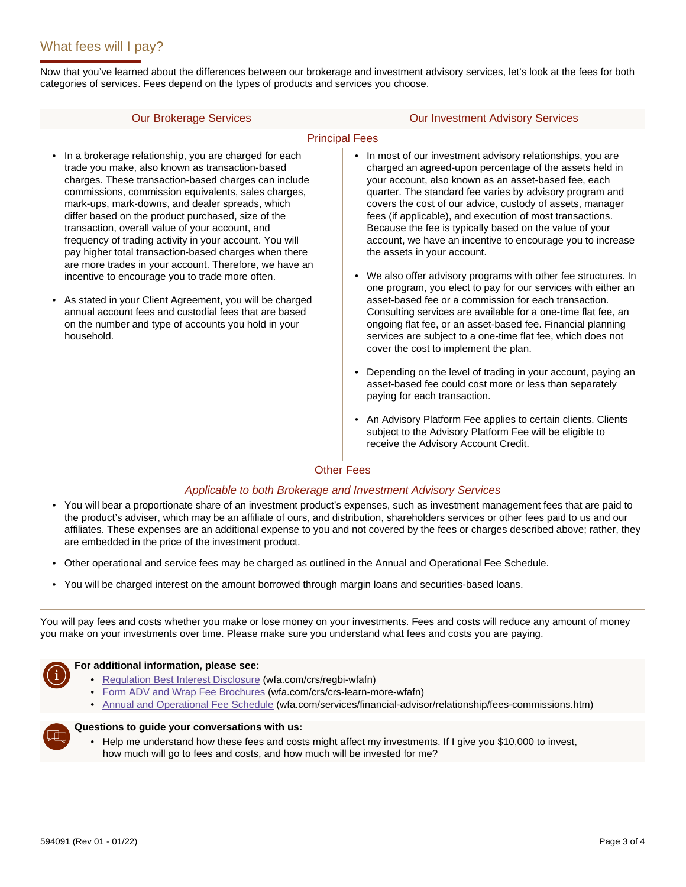Now that you've learned about the differences between our brokerage and investment advisory services, let's look at the fees for both categories of services. Fees depend on the types of products and services you choose.

#### Our Brokerage Services Our Investment Advisory Services

#### Principal Fees

- In a brokerage relationship, you are charged for each trade you make, also known as transaction-based charges. These transaction-based charges can include commissions, commission equivalents, sales charges, mark-ups, mark-downs, and dealer spreads, which differ based on the product purchased, size of the transaction, overall value of your account, and frequency of trading activity in your account. You will pay higher total transaction-based charges when there are more trades in your account. Therefore, we have an incentive to encourage you to trade more often.
- As stated in your Client Agreement, you will be charged annual account fees and custodial fees that are based on the number and type of accounts you hold in your household.
- In most of our investment advisory relationships, you are charged an agreed-upon percentage of the assets held in your account, also known as an asset-based fee, each quarter. The standard fee varies by advisory program and covers the cost of our advice, custody of assets, manager fees (if applicable), and execution of most transactions. Because the fee is typically based on the value of your account, we have an incentive to encourage you to increase the assets in your account.
- We also offer advisory programs with other fee structures. In one program, you elect to pay for our services with either an asset-based fee or a commission for each transaction. Consulting services are available for a one-time flat fee, an ongoing flat fee, or an asset-based fee. Financial planning services are subject to a one-time flat fee, which does not cover the cost to implement the plan.
- Depending on the level of trading in your account, paying an asset-based fee could cost more or less than separately paying for each transaction.
- An Advisory Platform Fee applies to certain clients. Clients subject to the Advisory Platform Fee will be eligible to receive the Advisory Account Credit.

#### Other Fees

#### *Applicable to both Brokerage and Investment Advisory Services*

- You will bear a proportionate share of an investment product's expenses, such as investment management fees that are paid to the product's adviser, which may be an affiliate of ours, and distribution, shareholders services or other fees paid to us and our affiliates. These expenses are an additional expense to you and not covered by the fees or charges described above; rather, they are embedded in the price of the investment product.
- Other operational and service fees may be charged as outlined in the Annual and Operational Fee Schedule.
- You will be charged interest on the amount borrowed through margin loans and securities-based loans.

You will pay fees and costs whether you make or lose money on your investments. Fees and costs will reduce any amount of money you make on your investments over time. Please make sure you understand what fees and costs you are paying.



#### **For additional information, please see:**

- [Regulation Best Interest Disclosure](https://www.wfa.com/crs/regbi-wfafn) (wfa.com/crs/regbi-wfafn)
- [Form ADV and Wrap Fee Brochures](https://www.wfa.com/crs/crs-learn-more-wfafn) (wfa.com/crs/crs-learn-more-wfafn)
- [Annual and Operational Fee Schedule](https://www.wellsfargoadvisors.com/services/financial-advisor/relationship/fees-commissions.htm) (wfa.com/services/financial-advisor/relationship/fees-commissions.htm)



### **Questions to guide your conversations with us:**

• Help me understand how these fees and costs might affect my investments. If I give you \$10,000 to invest, how much will go to fees and costs, and how much will be invested for me?